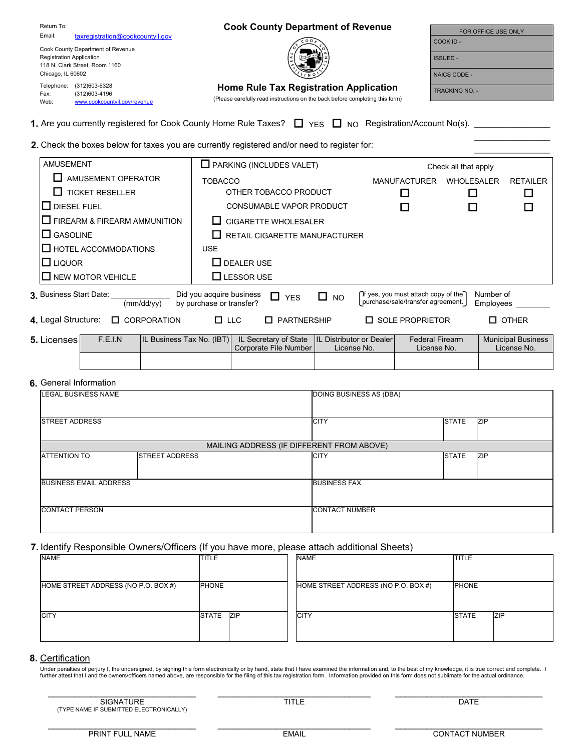| Return To:                      |                                   | <b>Cook County Department of Revenue</b>                                     | FOR OFFICE USE ONLY   |  |
|---------------------------------|-----------------------------------|------------------------------------------------------------------------------|-----------------------|--|
| Email:                          | taxregistration@cookcountyil.gov  | င္ ၀ ၀                                                                       | COOK ID -             |  |
|                                 | Cook County Department of Revenue |                                                                              |                       |  |
| <b>Registration Application</b> |                                   |                                                                              | <b>ISSUED-</b>        |  |
| 118 N. Clark Street, Room 1160  |                                   |                                                                              |                       |  |
| Chicago, IL 60602               |                                   |                                                                              | NAICS CODE -          |  |
| Telephone:                      | (312)603-6328                     | Home Rule Tax Registration Application                                       | <b>TRACKING NO. -</b> |  |
| Fax:                            | (312)603-4196                     | (Please carefully read instructions on the back before completing this form) |                       |  |
| Web:                            | www.cookcountvil.gov/revenue      |                                                                              |                       |  |

1. Are you currently registered for Cook County Home Rule Taxes?  $\Box$  YES  $\Box$  NO Registration/Account No(s). \_

## 2. Check the boxes below for taxes you are currently registered and/or need to register for:

| <b>AMUSEMENT</b>                                    | $\Box$ PARKING (INCLUDES VALET)                                                           | Check all that apply                                                     |                        |                 |
|-----------------------------------------------------|-------------------------------------------------------------------------------------------|--------------------------------------------------------------------------|------------------------|-----------------|
| AMUSEMENT OPERATOR                                  | TOBACCO                                                                                   | <b>MANUFACTURER</b>                                                      | <b>WHOLESALER</b>      | <b>RETAILER</b> |
| $\Box$ TICKET RESELLER                              | OTHER TOBACCO PRODUCT                                                                     |                                                                          |                        |                 |
| $\Box$ DIESEL FUEL                                  | <b>CONSUMABLE VAPOR PRODUCT</b>                                                           |                                                                          |                        |                 |
| $\Box$ FIREARM & FIREARM AMMUNITION                 | <b>CIGARETTE WHOLESALER</b>                                                               |                                                                          |                        |                 |
| I∐ GASOLINE                                         | RETAIL CIGARETTE MANUFACTURER                                                             |                                                                          |                        |                 |
| $\Box$ HOTEL ACCOMMODATIONS                         | <b>USE</b>                                                                                |                                                                          |                        |                 |
| <b>LI</b> LIQUOR                                    | $\Box$ DEALER USE                                                                         |                                                                          |                        |                 |
| I∐ NEW MOTOR VEHICLE                                | $\Box$ LESSOR USE                                                                         |                                                                          |                        |                 |
| 3. Business Start Date:<br>(mm/dd/yy)               | Did you acquire business<br>$\Box$ NO<br>$\Box$<br><b>YES</b><br>by purchase or transfer? | ∩f yes, you must attach copy of the<br>purchase/sale/transfer agreement. | Number of<br>Employees |                 |
| 4. Legal Structure:<br><b>CORPORATION</b><br>$\Box$ | <b>PARTNERSHIP</b><br>$\Box$ LLC                                                          | <b>SOLE PROPRIETOR</b>                                                   | $\Box$ OTHER           |                 |

| <b>5.</b> Licenses | F.E.I.N | IL Business Tax No. (IBT)  IL Secretary of State  IL Distributor or Dealer | Corporate File Number I | License No. | <b>Federal Firearm</b><br>License No. | <b>Municipal Business</b><br>License No. |
|--------------------|---------|----------------------------------------------------------------------------|-------------------------|-------------|---------------------------------------|------------------------------------------|
|                    |         |                                                                            |                         |             |                                       |                                          |

#### **6.** General Information

| LEGAL BUSINESS NAME           |                       |                                           | DOING BUSINESS AS (DBA)    |  |  |  |
|-------------------------------|-----------------------|-------------------------------------------|----------------------------|--|--|--|
| <b>STREET ADDRESS</b>         |                       | <b>CITY</b>                               | <b>STATE</b><br><b>ZIP</b> |  |  |  |
|                               |                       | MAILING ADDRESS (IF DIFFERENT FROM ABOVE) |                            |  |  |  |
| <b>ATTENTION TO</b>           | <b>STREET ADDRESS</b> | <b>CITY</b>                               | <b>STATE</b><br><b>ZIP</b> |  |  |  |
| <b>BUSINESS EMAIL ADDRESS</b> |                       | <b>BUSINESS FAX</b>                       |                            |  |  |  |
| <b>CONTACT PERSON</b>         |                       | <b>CONTACT NUMBER</b>                     |                            |  |  |  |

### **7.** Identify Responsible Owners/Officers (If you have more, please attach additional Sheets)

| <b>NAME</b>                         | <b>TITLE</b> | <b>NAME</b>                         | <b>TITLE</b>               |
|-------------------------------------|--------------|-------------------------------------|----------------------------|
| HOME STREET ADDRESS (NO P.O. BOX #) | <b>PHONE</b> | HOME STREET ADDRESS (NO P.O. BOX #) | <b>PHONE</b>               |
| <b>CITY</b>                         | STATE ZIP    | <b>CITY</b>                         | <b>STATE</b><br><b>ZIP</b> |

### **8.** Certification

Under penalties of perjury I, the undersigned, by signing this form electronically or by hand, state that I have examined the information and, to the best of my knowledge, it is true correct and complete. I further attest that I and the owners/officers named above, are responsible for the filing of this tax registration form. Information provided on this form does not sublimate for the actual ordinance.

**SIGNATURE** (TYPE NAME IF SUBMITTED ELECTRONICALLY)

\_\_\_\_\_\_\_\_\_\_\_\_\_\_\_\_\_\_\_\_\_\_\_\_\_\_\_\_ \_\_\_\_\_\_\_\_\_\_\_\_\_\_\_\_\_\_\_\_\_\_\_\_\_\_\_\_\_ \_\_\_\_\_\_\_\_\_\_\_\_\_\_\_\_\_\_\_\_\_\_\_\_\_\_\_\_

TITLE DATE

 $\frac{1}{2}$